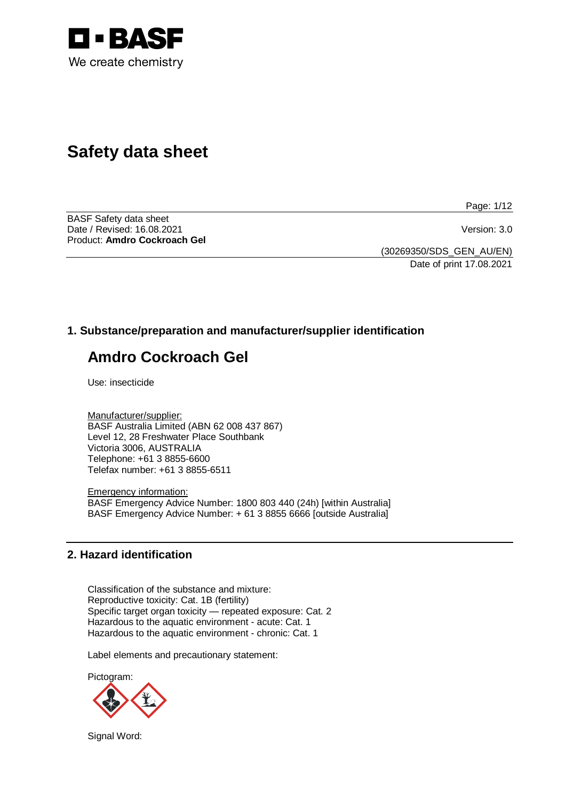

# **Safety data sheet**

Page: 1/12

BASF Safety data sheet Date / Revised: 16.08.2021 Version: 3.0 Product: **Amdro Cockroach Gel**

(30269350/SDS\_GEN\_AU/EN) Date of print 17.08.2021

# **1. Substance/preparation and manufacturer/supplier identification**

# **Amdro Cockroach Gel**

Use: insecticide

Manufacturer/supplier: BASF Australia Limited (ABN 62 008 437 867) Level 12, 28 Freshwater Place Southbank Victoria 3006, AUSTRALIA Telephone: +61 3 8855-6600 Telefax number: +61 3 8855-6511

Emergency information: BASF Emergency Advice Number: 1800 803 440 (24h) [within Australia] BASF Emergency Advice Number: + 61 3 8855 6666 [outside Australia]

## **2. Hazard identification**

Classification of the substance and mixture: Reproductive toxicity: Cat. 1B (fertility) Specific target organ toxicity — repeated exposure: Cat. 2 Hazardous to the aquatic environment - acute: Cat. 1 Hazardous to the aquatic environment - chronic: Cat. 1

Label elements and precautionary statement:

Pictogram:



Signal Word: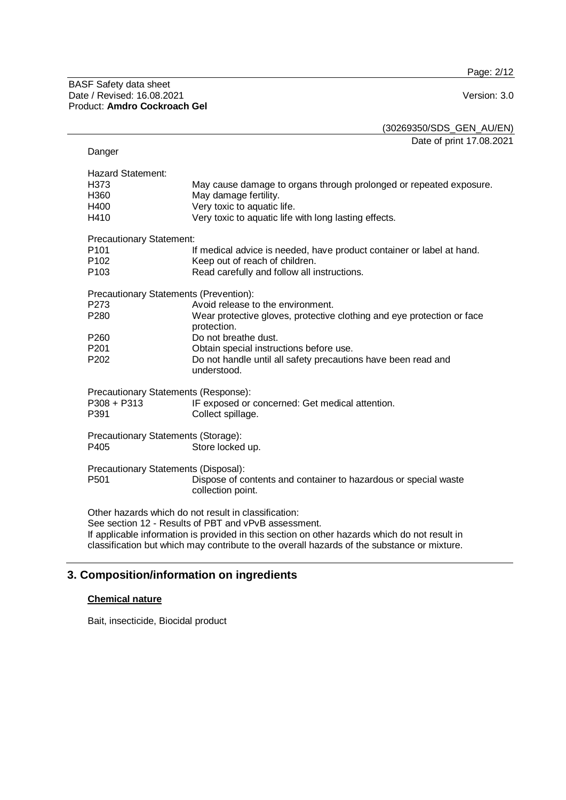Page: 2/12

(30269350/SDS\_GEN\_AU/EN)

Date of print 17.08.2021

| Danger                                                                          |                                                                                                                                                                                                                                                                                                              |
|---------------------------------------------------------------------------------|--------------------------------------------------------------------------------------------------------------------------------------------------------------------------------------------------------------------------------------------------------------------------------------------------------------|
| <b>Hazard Statement:</b><br>H373<br>H360<br>H400<br>H410                        | May cause damage to organs through prolonged or repeated exposure.<br>May damage fertility.<br>Very toxic to aquatic life.<br>Very toxic to aquatic life with long lasting effects.                                                                                                                          |
| <b>Precautionary Statement:</b><br>P101<br>P <sub>102</sub><br>P <sub>103</sub> | If medical advice is needed, have product container or label at hand.<br>Keep out of reach of children.<br>Read carefully and follow all instructions.                                                                                                                                                       |
| Precautionary Statements (Prevention):<br>P273<br>P280                          | Avoid release to the environment.<br>Wear protective gloves, protective clothing and eye protection or face<br>protection.                                                                                                                                                                                   |
| P <sub>260</sub><br>P201<br>P <sub>202</sub>                                    | Do not breathe dust.<br>Obtain special instructions before use.<br>Do not handle until all safety precautions have been read and<br>understood.                                                                                                                                                              |
| Precautionary Statements (Response):<br>P308 + P313<br>P391                     | IF exposed or concerned: Get medical attention.<br>Collect spillage.                                                                                                                                                                                                                                         |
| Precautionary Statements (Storage):<br>P405                                     | Store locked up.                                                                                                                                                                                                                                                                                             |
| Precautionary Statements (Disposal):<br>P <sub>501</sub>                        | Dispose of contents and container to hazardous or special waste<br>collection point.                                                                                                                                                                                                                         |
|                                                                                 | Other hazards which do not result in classification:<br>See section 12 - Results of PBT and vPvB assessment.<br>If applicable information is provided in this section on other hazards which do not result in<br>classification but which may contribute to the overall hazards of the substance or mixture. |

# **3. Composition/information on ingredients**

## **Chemical nature**

Bait, insecticide, Biocidal product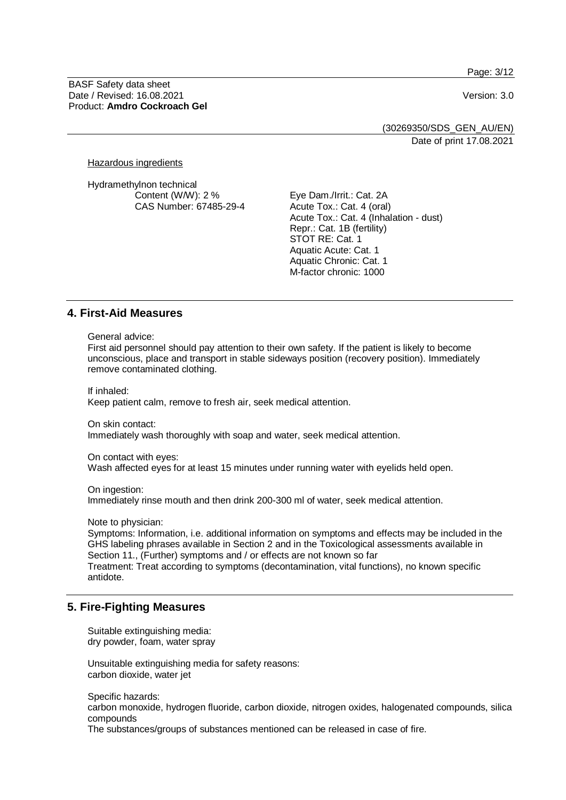Page: 3/12

BASF Safety data sheet Date / Revised: 16.08.2021 Version: 3.0 Product: **Amdro Cockroach Gel**

(30269350/SDS\_GEN\_AU/EN) Date of print 17.08.2021

Hazardous ingredients

Hydramethylnon technical Content (W/W): 2 % CAS Number: 67485-29-4

Eye Dam./Irrit.: Cat. 2A Acute Tox.: Cat. 4 (oral) Acute Tox.: Cat. 4 (Inhalation - dust) Repr.: Cat. 1B (fertility) STOT RE: Cat. 1 Aquatic Acute: Cat. 1 Aquatic Chronic: Cat. 1 M-factor chronic: 1000

## **4. First-Aid Measures**

General advice:

First aid personnel should pay attention to their own safety. If the patient is likely to become unconscious, place and transport in stable sideways position (recovery position). Immediately remove contaminated clothing.

If inhaled:

Keep patient calm, remove to fresh air, seek medical attention.

On skin contact:

Immediately wash thoroughly with soap and water, seek medical attention.

On contact with eyes:

Wash affected eyes for at least 15 minutes under running water with eyelids held open.

On ingestion: Immediately rinse mouth and then drink 200-300 ml of water, seek medical attention.

Note to physician:

Symptoms: Information, i.e. additional information on symptoms and effects may be included in the GHS labeling phrases available in Section 2 and in the Toxicological assessments available in Section 11., (Further) symptoms and / or effects are not known so far Treatment: Treat according to symptoms (decontamination, vital functions), no known specific antidote.

## **5. Fire-Fighting Measures**

Suitable extinguishing media: dry powder, foam, water spray

Unsuitable extinguishing media for safety reasons: carbon dioxide, water jet

Specific hazards:

carbon monoxide, hydrogen fluoride, carbon dioxide, nitrogen oxides, halogenated compounds, silica compounds

The substances/groups of substances mentioned can be released in case of fire.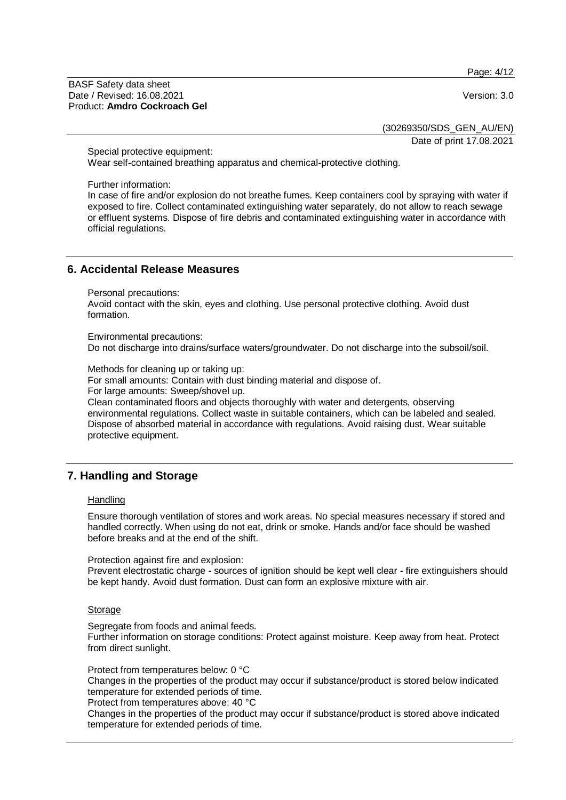Page: 4/12

BASF Safety data sheet Date / Revised: 16.08.2021 Version: 3.0 Product: **Amdro Cockroach Gel**

(30269350/SDS\_GEN\_AU/EN)

Date of print 17.08.2021

Special protective equipment:

Wear self-contained breathing apparatus and chemical-protective clothing.

Further information:

In case of fire and/or explosion do not breathe fumes. Keep containers cool by spraying with water if exposed to fire. Collect contaminated extinguishing water separately, do not allow to reach sewage or effluent systems. Dispose of fire debris and contaminated extinguishing water in accordance with official regulations.

## **6. Accidental Release Measures**

Personal precautions:

Avoid contact with the skin, eyes and clothing. Use personal protective clothing. Avoid dust formation.

Environmental precautions:

Do not discharge into drains/surface waters/groundwater. Do not discharge into the subsoil/soil.

Methods for cleaning up or taking up:

For small amounts: Contain with dust binding material and dispose of.

For large amounts: Sweep/shovel up.

Clean contaminated floors and objects thoroughly with water and detergents, observing environmental regulations. Collect waste in suitable containers, which can be labeled and sealed. Dispose of absorbed material in accordance with regulations. Avoid raising dust. Wear suitable protective equipment.

## **7. Handling and Storage**

#### **Handling**

Ensure thorough ventilation of stores and work areas. No special measures necessary if stored and handled correctly. When using do not eat, drink or smoke. Hands and/or face should be washed before breaks and at the end of the shift.

Protection against fire and explosion:

Prevent electrostatic charge - sources of ignition should be kept well clear - fire extinguishers should be kept handy. Avoid dust formation. Dust can form an explosive mixture with air.

#### **Storage**

Segregate from foods and animal feeds.

Further information on storage conditions: Protect against moisture. Keep away from heat. Protect from direct sunlight.

Protect from temperatures below: 0 °C

Changes in the properties of the product may occur if substance/product is stored below indicated temperature for extended periods of time.

Protect from temperatures above: 40 °C

Changes in the properties of the product may occur if substance/product is stored above indicated temperature for extended periods of time.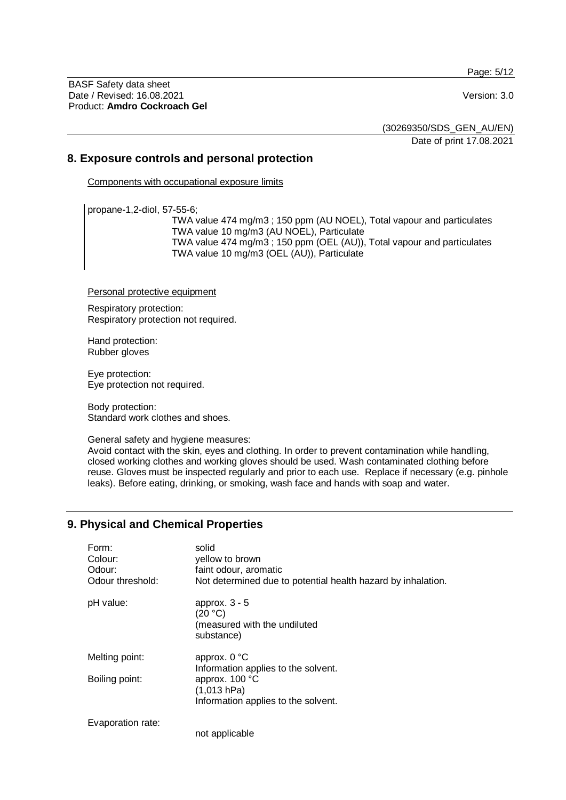Page: 5/12

BASF Safety data sheet Date / Revised: 16.08.2021 Version: 3.0 Product: **Amdro Cockroach Gel**

(30269350/SDS\_GEN\_AU/EN)

Date of print 17.08.2021

## **8. Exposure controls and personal protection**

Components with occupational exposure limits

propane-1,2-diol, 57-55-6;

TWA value 474 mg/m3 ; 150 ppm (AU NOEL), Total vapour and particulates TWA value 10 mg/m3 (AU NOEL), Particulate TWA value 474 mg/m3 ; 150 ppm (OEL (AU)), Total vapour and particulates TWA value 10 mg/m3 (OEL (AU)), Particulate

Personal protective equipment

Respiratory protection: Respiratory protection not required.

Hand protection: Rubber gloves

Eye protection: Eye protection not required.

Body protection: Standard work clothes and shoes.

General safety and hygiene measures:

Avoid contact with the skin, eyes and clothing. In order to prevent contamination while handling, closed working clothes and working gloves should be used. Wash contaminated clothing before reuse. Gloves must be inspected regularly and prior to each use. Replace if necessary (e.g. pinhole leaks). Before eating, drinking, or smoking, wash face and hands with soap and water.

# **9. Physical and Chemical Properties**

| Form:<br>Colour:<br>Odour:<br>Odour threshold: | solid<br>yellow to brown<br>faint odour, aromatic<br>Not determined due to potential health hazard by inhalation. |
|------------------------------------------------|-------------------------------------------------------------------------------------------------------------------|
| pH value:                                      | approx. $3 - 5$<br>(20 °C)<br>(measured with the undiluted<br>substance)                                          |
| Melting point:                                 | approx. $0^{\circ}$ C<br>Information applies to the solvent.                                                      |
| Boiling point:                                 | approx. 100 °C<br>(1,013 hPa)<br>Information applies to the solvent.                                              |
| Evaporation rate:                              | not applicable                                                                                                    |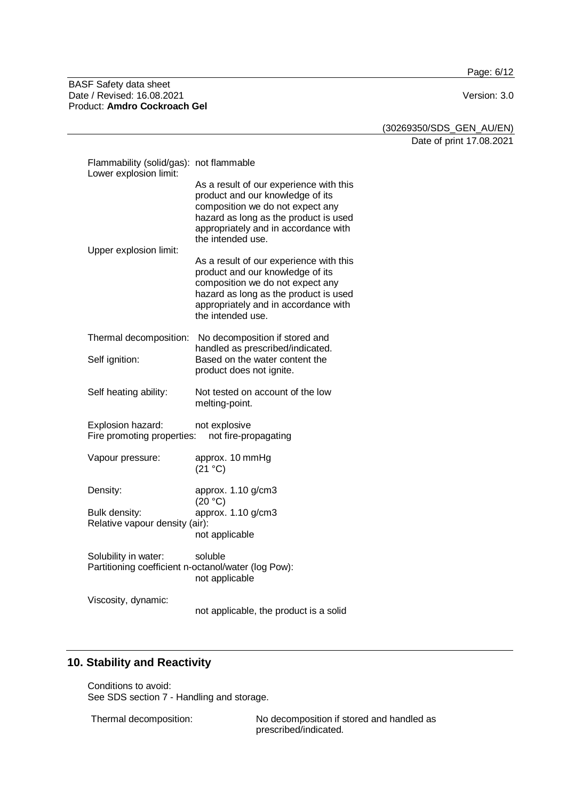Page: 6/12

BASF Safety data sheet Date / Revised: 16.08.2021 **Version: 3.0** Product: **Amdro Cockroach Gel**

(30269350/SDS\_GEN\_AU/EN)

Date of print 17.08.2021

| Flammability (solid/gas): not flammable<br>Lower explosion limit:                        |                                                                                                                                                                                                                       |  |
|------------------------------------------------------------------------------------------|-----------------------------------------------------------------------------------------------------------------------------------------------------------------------------------------------------------------------|--|
|                                                                                          | As a result of our experience with this<br>product and our knowledge of its<br>composition we do not expect any<br>hazard as long as the product is used<br>appropriately and in accordance with<br>the intended use. |  |
| Upper explosion limit:                                                                   | As a result of our experience with this<br>product and our knowledge of its<br>composition we do not expect any<br>hazard as long as the product is used<br>appropriately and in accordance with<br>the intended use. |  |
| Thermal decomposition:                                                                   | No decomposition if stored and<br>handled as prescribed/indicated.                                                                                                                                                    |  |
| Self ignition:                                                                           | Based on the water content the<br>product does not ignite.                                                                                                                                                            |  |
| Self heating ability:                                                                    | Not tested on account of the low<br>melting-point.                                                                                                                                                                    |  |
| Explosion hazard:<br>not explosive<br>Fire promoting properties:<br>not fire-propagating |                                                                                                                                                                                                                       |  |
| Vapour pressure:                                                                         | approx. 10 mmHg<br>(21 °C)                                                                                                                                                                                            |  |
| Density:                                                                                 | approx. 1.10 g/cm3<br>(20 °C)                                                                                                                                                                                         |  |
| Bulk density:<br>Relative vapour density (air):                                          | approx. 1.10 g/cm3<br>not applicable                                                                                                                                                                                  |  |
| Solubility in water:                                                                     | soluble<br>Partitioning coefficient n-octanol/water (log Pow):<br>not applicable                                                                                                                                      |  |
| Viscosity, dynamic:                                                                      | not applicable, the product is a solid                                                                                                                                                                                |  |

# **10. Stability and Reactivity**

Conditions to avoid: See SDS section 7 - Handling and storage.

Thermal decomposition: No decomposition if stored and handled as prescribed/indicated.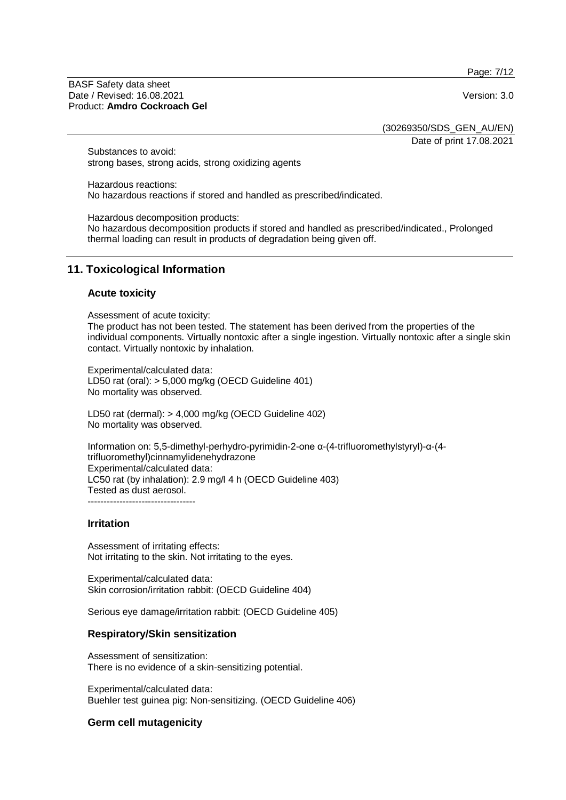Page: 7/12

BASF Safety data sheet Date / Revised: 16.08.2021 Version: 3.0 Product: **Amdro Cockroach Gel**

(30269350/SDS\_GEN\_AU/EN)

Date of print 17.08.2021

Substances to avoid: strong bases, strong acids, strong oxidizing agents

Hazardous reactions: No hazardous reactions if stored and handled as prescribed/indicated.

Hazardous decomposition products:

No hazardous decomposition products if stored and handled as prescribed/indicated., Prolonged thermal loading can result in products of degradation being given off.

# **11. Toxicological Information**

### **Acute toxicity**

Assessment of acute toxicity:

The product has not been tested. The statement has been derived from the properties of the individual components. Virtually nontoxic after a single ingestion. Virtually nontoxic after a single skin contact. Virtually nontoxic by inhalation.

Experimental/calculated data: LD50 rat (oral): > 5,000 mg/kg (OECD Guideline 401) No mortality was observed.

LD50 rat (dermal): > 4,000 mg/kg (OECD Guideline 402) No mortality was observed.

Information on: 5,5-dimethyl-perhydro-pyrimidin-2-one α-(4-trifluoromethylstyryl)-α-(4 trifluoromethyl)cinnamylidenehydrazone Experimental/calculated data: LC50 rat (by inhalation): 2.9 mg/l 4 h (OECD Guideline 403) Tested as dust aerosol. ----------------------------------

### **Irritation**

Assessment of irritating effects: Not irritating to the skin. Not irritating to the eyes.

Experimental/calculated data: Skin corrosion/irritation rabbit: (OECD Guideline 404)

Serious eye damage/irritation rabbit: (OECD Guideline 405)

### **Respiratory/Skin sensitization**

Assessment of sensitization: There is no evidence of a skin-sensitizing potential.

Experimental/calculated data: Buehler test guinea pig: Non-sensitizing. (OECD Guideline 406)

### **Germ cell mutagenicity**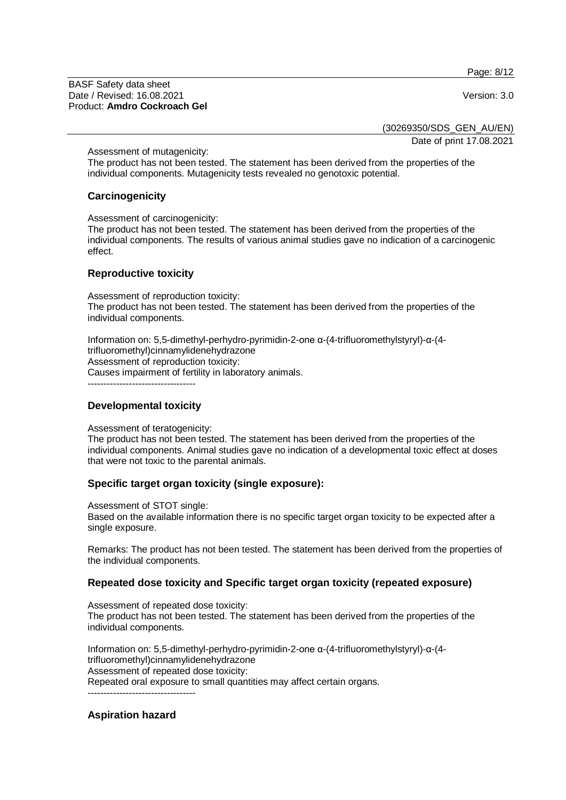Page: 8/12

BASF Safety data sheet Date / Revised: 16.08.2021 Version: 3.0 Product: **Amdro Cockroach Gel**

(30269350/SDS\_GEN\_AU/EN)

Date of print 17.08.2021

Assessment of mutagenicity:

The product has not been tested. The statement has been derived from the properties of the individual components. Mutagenicity tests revealed no genotoxic potential.

## **Carcinogenicity**

Assessment of carcinogenicity:

The product has not been tested. The statement has been derived from the properties of the individual components. The results of various animal studies gave no indication of a carcinogenic effect.

## **Reproductive toxicity**

Assessment of reproduction toxicity: The product has not been tested. The statement has been derived from the properties of the individual components.

Information on: 5,5-dimethyl-perhydro-pyrimidin-2-one α-(4-trifluoromethylstyryl)-α-(4 trifluoromethyl)cinnamylidenehydrazone Assessment of reproduction toxicity: Causes impairment of fertility in laboratory animals.

 $-$ 

## **Developmental toxicity**

Assessment of teratogenicity: The product has not been tested. The statement has been derived from the properties of the individual components. Animal studies gave no indication of a developmental toxic effect at doses that were not toxic to the parental animals.

## **Specific target organ toxicity (single exposure):**

Assessment of STOT single:

Based on the available information there is no specific target organ toxicity to be expected after a single exposure.

Remarks: The product has not been tested. The statement has been derived from the properties of the individual components.

## **Repeated dose toxicity and Specific target organ toxicity (repeated exposure)**

Assessment of repeated dose toxicity: The product has not been tested. The statement has been derived from the properties of the individual components.

Information on: 5,5-dimethyl-perhydro-pyrimidin-2-one α-(4-trifluoromethylstyryl)-α-(4 trifluoromethyl)cinnamylidenehydrazone Assessment of repeated dose toxicity: Repeated oral exposure to small quantities may affect certain organs. ----------------------------------

## **Aspiration hazard**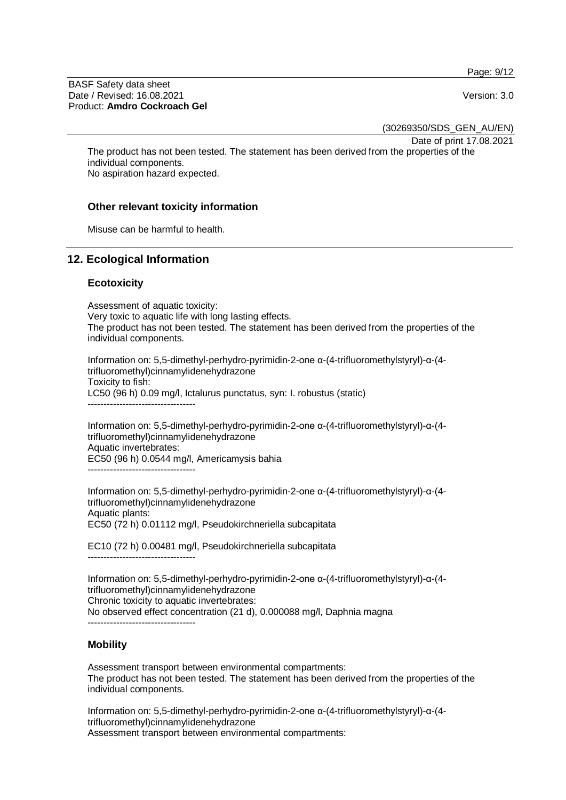Page: 9/12

BASF Safety data sheet Date / Revised: 16.08.2021 Version: 3.0 Product: **Amdro Cockroach Gel**

(30269350/SDS\_GEN\_AU/EN)

Date of print 17.08.2021

The product has not been tested. The statement has been derived from the properties of the individual components.

No aspiration hazard expected.

### **Other relevant toxicity information**

Misuse can be harmful to health.

### **12. Ecological Information**

#### **Ecotoxicity**

Assessment of aquatic toxicity: Very toxic to aquatic life with long lasting effects. The product has not been tested. The statement has been derived from the properties of the individual components.

Information on: 5,5-dimethyl-perhydro-pyrimidin-2-one α-(4-trifluoromethylstyryl)-α-(4 trifluoromethyl)cinnamylidenehydrazone Toxicity to fish: LC50 (96 h) 0.09 mg/l, Ictalurus punctatus, syn: I. robustus (static)

----------------------------------

Information on: 5,5-dimethyl-perhydro-pyrimidin-2-one α-(4-trifluoromethylstyryl)-α-(4 trifluoromethyl)cinnamylidenehydrazone Aquatic invertebrates: EC50 (96 h) 0.0544 mg/l, Americamysis bahia ----------------------------------

Information on: 5,5-dimethyl-perhydro-pyrimidin-2-one α-(4-trifluoromethylstyryl)-α-(4 trifluoromethyl)cinnamylidenehydrazone Aquatic plants: EC50 (72 h) 0.01112 mg/l, Pseudokirchneriella subcapitata

EC10 (72 h) 0.00481 mg/l, Pseudokirchneriella subcapitata ----------------------------------

Information on: 5,5-dimethyl-perhydro-pyrimidin-2-one α-(4-trifluoromethylstyryl)-α-(4 trifluoromethyl)cinnamylidenehydrazone Chronic toxicity to aquatic invertebrates: No observed effect concentration (21 d), 0.000088 mg/l, Daphnia magna ----------------------------------

### **Mobility**

Assessment transport between environmental compartments: The product has not been tested. The statement has been derived from the properties of the individual components.

Information on: 5,5-dimethyl-perhydro-pyrimidin-2-one α-(4-trifluoromethylstyryl)-α-(4 trifluoromethyl)cinnamylidenehydrazone Assessment transport between environmental compartments: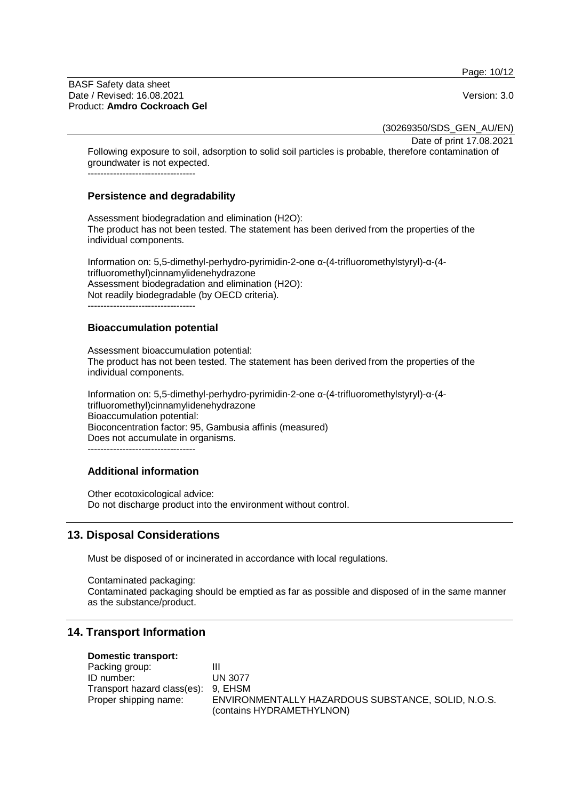Page: 10/12

BASF Safety data sheet Date / Revised: 16.08.2021 Version: 3.0 Product: **Amdro Cockroach Gel**

(30269350/SDS\_GEN\_AU/EN)

Date of print 17.08.2021

Following exposure to soil, adsorption to solid soil particles is probable, therefore contamination of groundwater is not expected. ----------------------------------

### **Persistence and degradability**

Assessment biodegradation and elimination (H2O): The product has not been tested. The statement has been derived from the properties of the individual components.

Information on: 5,5-dimethyl-perhydro-pyrimidin-2-one α-(4-trifluoromethylstyryl)-α-(4 trifluoromethyl)cinnamylidenehydrazone Assessment biodegradation and elimination (H2O): Not readily biodegradable (by OECD criteria). ----------------------------------

## **Bioaccumulation potential**

Assessment bioaccumulation potential: The product has not been tested. The statement has been derived from the properties of the individual components.

Information on: 5,5-dimethyl-perhydro-pyrimidin-2-one α-(4-trifluoromethylstyryl)-α-(4 trifluoromethyl)cinnamylidenehydrazone Bioaccumulation potential: Bioconcentration factor: 95, Gambusia affinis (measured) Does not accumulate in organisms. ----------------------------------

## **Additional information**

Other ecotoxicological advice: Do not discharge product into the environment without control.

# **13. Disposal Considerations**

Must be disposed of or incinerated in accordance with local regulations.

Contaminated packaging: Contaminated packaging should be emptied as far as possible and disposed of in the same manner as the substance/product.

# **14. Transport Information**

### **Domestic transport:**

| Packing group:                      |                                                    |
|-------------------------------------|----------------------------------------------------|
| ID number:                          | UN 3077                                            |
| Transport hazard class(es): 9, EHSM |                                                    |
| Proper shipping name:               | ENVIRONMENTALLY HAZARDOUS SUBSTANCE, SOLID, N.O.S. |
|                                     | (contains HYDRAMETHYLNON)                          |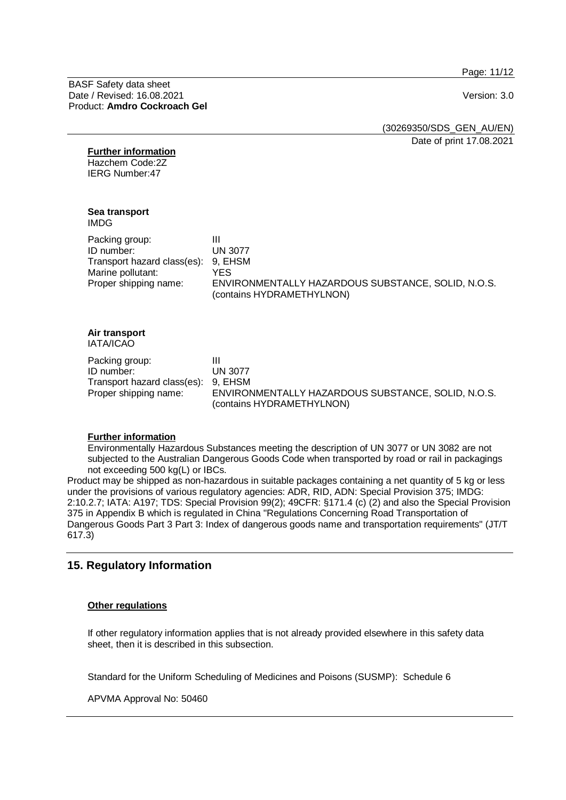Page: 11/12

BASF Safety data sheet Date / Revised: 16.08.2021 Version: 3.0 Product: **Amdro Cockroach Gel**

| (30269350/SDS_GEN_AU/EN) |  |
|--------------------------|--|
| Date of print 17.08.2021 |  |

#### **Further information**

Hazchem Code:2Z IERG Number:47

## **Sea transport**

IMDG

| Packing group:                      | Ш                                                                               |
|-------------------------------------|---------------------------------------------------------------------------------|
| ID number:                          | <b>UN 3077</b>                                                                  |
| Transport hazard class(es): 9, EHSM |                                                                                 |
| Marine pollutant:                   | YES                                                                             |
| Proper shipping name:               | ENVIRONMENTALLY HAZARDOUS SUBSTANCE, SOLID, N.O.S.<br>(contains HYDRAMETHYLNON) |

#### **Air transport** IATA/ICAO

Packing group: III<br>
ID number: IN 3077 ID number: Transport hazard class(es): 9, EHSM

Proper shipping name: ENVIRONMENTALLY HAZARDOUS SUBSTANCE, SOLID, N.O.S. (contains HYDRAMETHYLNON)

### **Further information**

Environmentally Hazardous Substances meeting the description of UN 3077 or UN 3082 are not subjected to the Australian Dangerous Goods Code when transported by road or rail in packagings not exceeding 500 kg(L) or IBCs.

Product may be shipped as non-hazardous in suitable packages containing a net quantity of 5 kg or less under the provisions of various regulatory agencies: ADR, RID, ADN: Special Provision 375; IMDG: 2:10.2.7; IATA: A197; TDS: Special Provision 99(2); 49CFR: §171.4 (c) (2) and also the Special Provision 375 in Appendix B which is regulated in China "Regulations Concerning Road Transportation of Dangerous Goods Part 3 Part 3: Index of dangerous goods name and transportation requirements" (JT/T 617.3)

# **15. Regulatory Information**

### **Other regulations**

If other regulatory information applies that is not already provided elsewhere in this safety data sheet, then it is described in this subsection.

Standard for the Uniform Scheduling of Medicines and Poisons (SUSMP): Schedule 6

APVMA Approval No: 50460